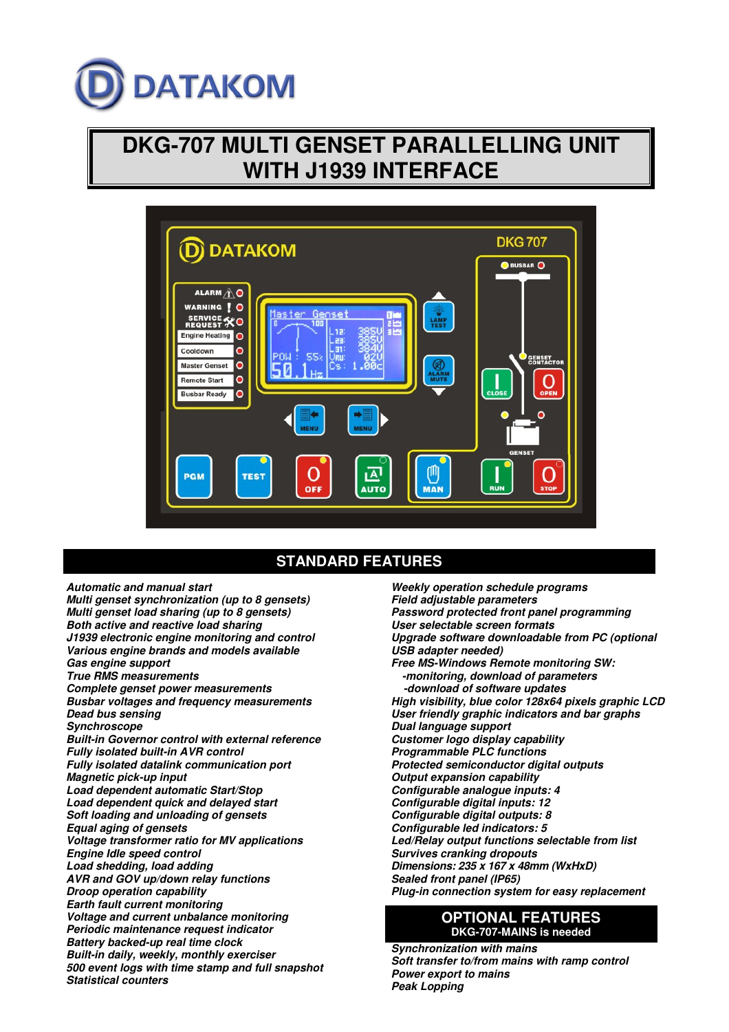# **DATAKOM**

# **DKG-707 MULTI GENSET PARALLELLING UNIT WITH J1939 INTERFACE**



# **STANDARD FEATURES**

**Automatic and manual start Multi genset synchronization (up to 8 gensets) Multi genset load sharing (up to 8 gensets) Both active and reactive load sharing J1939 electronic engine monitoring and control Various engine brands and models available Gas engine support True RMS measurements Complete genset power measurements Busbar voltages and frequency measurements Dead bus sensing Synchroscope Built-in Governor control with external reference Fully isolated built-in AVR control Fully isolated datalink communication port Magnetic pick-up input Load dependent automatic Start/Stop Load dependent quick and delayed start Soft loading and unloading of gensets Equal aging of gensets Voltage transformer ratio for MV applications Engine Idle speed control Load shedding, load adding AVR and GOV up/down relay functions Droop operation capability Earth fault current monitoring Voltage and current unbalance monitoring Periodic maintenance request indicator Battery backed-up real time clock Built-in daily, weekly, monthly exerciser 500 event logs with time stamp and full snapshot Statistical counters** 

**Weekly operation schedule programs Field adjustable parameters Password protected front panel programming User selectable screen formats Upgrade software downloadable from PC (optional USB adapter needed) Free MS-Windows Remote monitoring SW: -monitoring, download of parameters -download of software updates High visibility, blue color 128x64 pixels graphic LCD User friendly graphic indicators and bar graphs Dual language support Customer logo display capability Programmable PLC functions Protected semiconductor digital outputs Output expansion capability Configurable analogue inputs: 4 Configurable digital inputs: 12 Configurable digital outputs: 8 Configurable led indicators: 5 Led/Relay output functions selectable from list Survives cranking dropouts Dimensions: 235 x 167 x 48mm (WxHxD) Sealed front panel (IP65) Plug-in connection system for easy replacement**

### **OPTIONAL FEATURES DKG-707-MAINS is needed**

**Synchronization with mains Soft transfer to/from mains with ramp control Power export to mains Peak Lopping**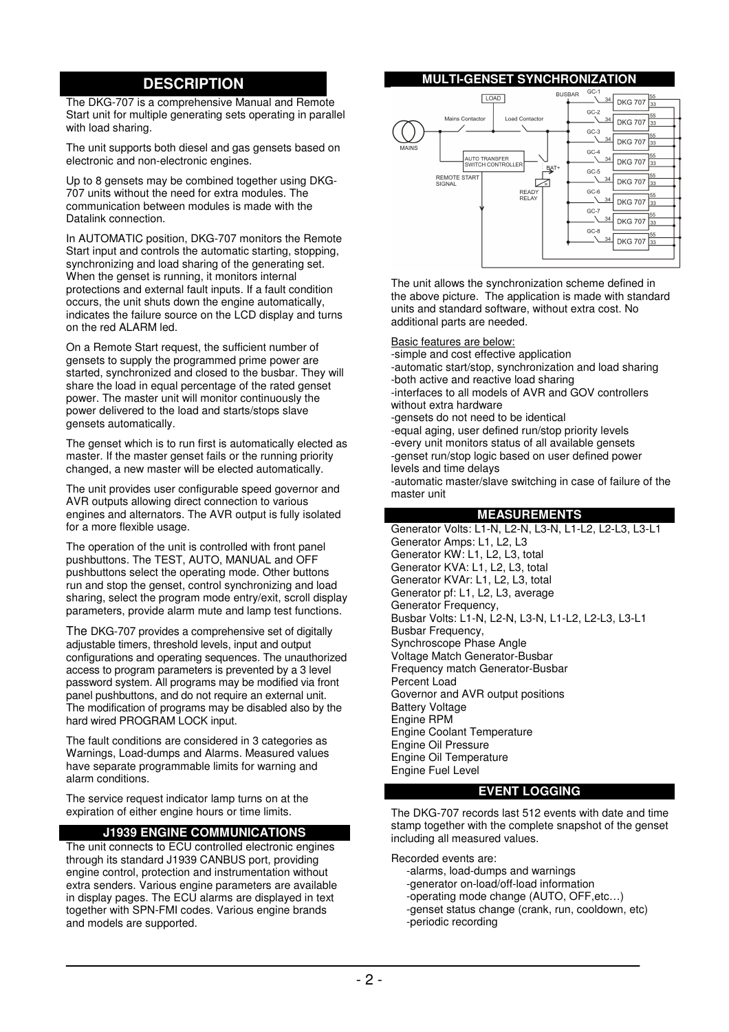# **DESCRIPTION**

The DKG-707 is a comprehensive Manual and Remote Start unit for multiple generating sets operating in parallel with load sharing.

The unit supports both diesel and gas gensets based on electronic and non-electronic engines.

Up to 8 gensets may be combined together using DKG-707 units without the need for extra modules. The communication between modules is made with the Datalink connection.

In AUTOMATIC position, DKG-707 monitors the Remote Start input and controls the automatic starting, stopping, synchronizing and load sharing of the generating set. When the genset is running, it monitors internal protections and external fault inputs. If a fault condition occurs, the unit shuts down the engine automatically, indicates the failure source on the LCD display and turns on the red ALARM led.

On a Remote Start request, the sufficient number of gensets to supply the programmed prime power are started, synchronized and closed to the busbar. They will share the load in equal percentage of the rated genset power. The master unit will monitor continuously the power delivered to the load and starts/stops slave gensets automatically.

The genset which is to run first is automatically elected as master. If the master genset fails or the running priority changed, a new master will be elected automatically.

The unit provides user configurable speed governor and AVR outputs allowing direct connection to various engines and alternators. The AVR output is fully isolated for a more flexible usage.

The operation of the unit is controlled with front panel pushbuttons. The TEST, AUTO, MANUAL and OFF pushbuttons select the operating mode. Other buttons run and stop the genset, control synchronizing and load sharing, select the program mode entry/exit, scroll display parameters, provide alarm mute and lamp test functions.

The DKG-707 provides a comprehensive set of digitally adjustable timers, threshold levels, input and output configurations and operating sequences. The unauthorized access to program parameters is prevented by a 3 level password system. All programs may be modified via front panel pushbuttons, and do not require an external unit. The modification of programs may be disabled also by the hard wired PROGRAM LOCK input.

The fault conditions are considered in 3 categories as Warnings, Load-dumps and Alarms. Measured values have separate programmable limits for warning and alarm conditions.

The service request indicator lamp turns on at the expiration of either engine hours or time limits.

#### **J1939 ENGINE COMMUNICATIONS**

The unit connects to ECU controlled electronic engines through its standard J1939 CANBUS port, providing engine control, protection and instrumentation without extra senders. Various engine parameters are available in display pages. The ECU alarms are displayed in text together with SPN-FMI codes. Various engine brands and models are supported.

#### **MULTI-GENSET SYNCHRONIZATION**



The unit allows the synchronization scheme defined in the above picture. The application is made with standard units and standard software, without extra cost. No additional parts are needed.

Basic features are below:

- -simple and cost effective application
- -automatic start/stop, synchronization and load sharing -both active and reactive load sharing

-interfaces to all models of AVR and GOV controllers without extra hardware

-gensets do not need to be identical

-equal aging, user defined run/stop priority levels -every unit monitors status of all available gensets -genset run/stop logic based on user defined power levels and time delays

-automatic master/slave switching in case of failure of the master unit

#### **MEASUREMENTS**

Generator Volts: L1-N, L2-N, L3-N, L1-L2, L2-L3, L3-L1 Generator Amps: L1, L2, L3 Generator KW: L1, L2, L3, total Generator KVA: L1, L2, L3, total Generator KVAr: L1, L2, L3, total Generator pf: L1, L2, L3, average Generator Frequency, Busbar Volts: L1-N, L2-N, L3-N, L1-L2, L2-L3, L3-L1 Busbar Frequency, Synchroscope Phase Angle Voltage Match Generator-Busbar Frequency match Generator-Busbar Percent Load Governor and AVR output positions Battery Voltage Engine RPM Engine Coolant Temperature Engine Oil Pressure Engine Oil Temperature Engine Fuel Level

#### **EVENT LOGGING**

The DKG-707 records last 512 events with date and time stamp together with the complete snapshot of the genset including all measured values.

Recorded events are:

- -alarms, load-dumps and warnings
- -generator on-load/off-load information
- -operating mode change (AUTO, OFF,etc…)
- -genset status change (crank, run, cooldown, etc) -periodic recording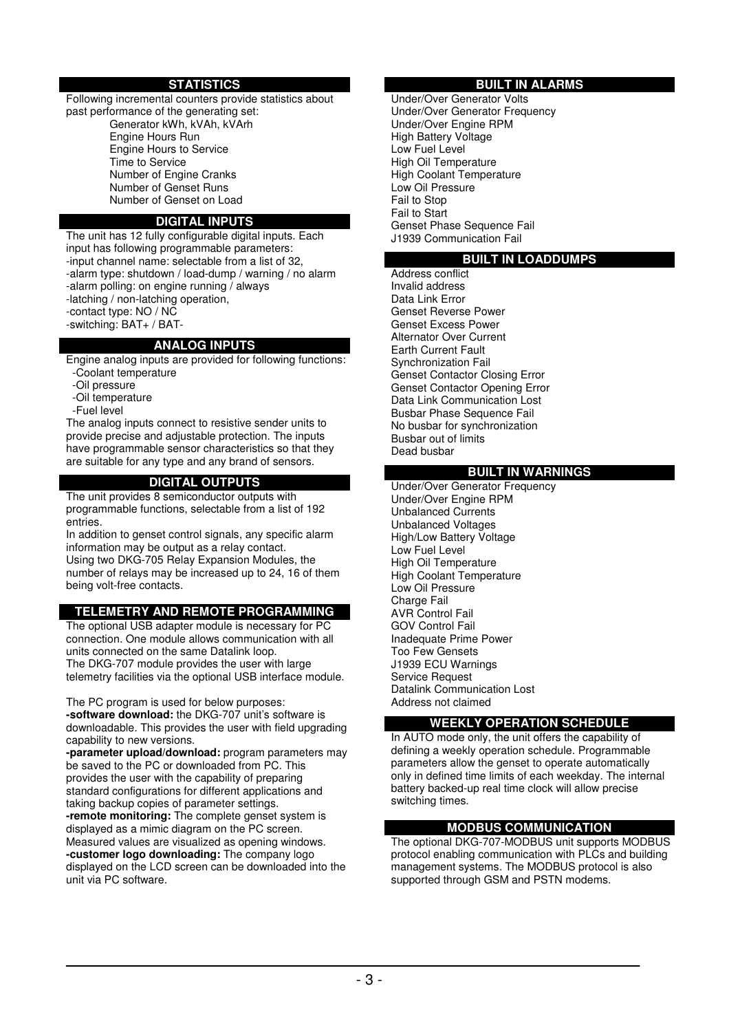#### **STATISTICS**

Following incremental counters provide statistics about past performance of the generating set:

 Generator kWh, kVAh, kVArh Engine Hours Run Engine Hours to Service Time to Service Number of Engine Cranks Number of Genset Runs Number of Genset on Load

#### **DIGITAL INPUTS**

The unit has 12 fully configurable digital inputs. Each input has following programmable parameters: -input channel name: selectable from a list of 32, -alarm type: shutdown / load-dump / warning / no alarm -alarm polling: on engine running / always -latching / non-latching operation,

- -contact type: NO / NC
- -switching: BAT+ / BAT-

#### **ANALOG INPUTS**

Engine analog inputs are provided for following functions:

- -Coolant temperature
- -Oil pressure
- -Oil temperature

unit via PC software.

-Fuel level

The analog inputs connect to resistive sender units to provide precise and adjustable protection. The inputs have programmable sensor characteristics so that they are suitable for any type and any brand of sensors.

#### **DIGITAL OUTPUTS**

The unit provides 8 semiconductor outputs with programmable functions, selectable from a list of 192 entries.

In addition to genset control signals, any specific alarm information may be output as a relay contact. Using two DKG-705 Relay Expansion Modules, the number of relays may be increased up to 24, 16 of them being volt-free contacts.

#### **TELEMETRY AND REMOTE PROGRAMMING**

The optional USB adapter module is necessary for PC connection. One module allows communication with all units connected on the same Datalink loop. The DKG-707 module provides the user with large telemetry facilities via the optional USB interface module.

The PC program is used for below purposes: **-software download:** the DKG-707 unit's software is downloadable. This provides the user with field upgrading capability to new versions. **-parameter upload/download:** program parameters may be saved to the PC or downloaded from PC. This provides the user with the capability of preparing standard configurations for different applications and taking backup copies of parameter settings. **-remote monitoring:** The complete genset system is displayed as a mimic diagram on the PC screen. Measured values are visualized as opening windows. **-customer logo downloading:** The company logo displayed on the LCD screen can be downloaded into the

#### **BUILT IN ALARMS**

Under/Over Generator Volts Under/Over Generator Frequency Under/Over Engine RPM High Battery Voltage Low Fuel Level High Oil Temperature High Coolant Temperature Low Oil Pressure Fail to Stop Fail to Start Genset Phase Sequence Fail J1939 Communication Fail

#### **BUILT IN LOADDUMPS**

Address conflict Invalid address Data Link Error Genset Reverse Power Genset Excess Power Alternator Over Current Earth Current Fault Synchronization Fail Genset Contactor Closing Error Genset Contactor Opening Error Data Link Communication Lost Busbar Phase Sequence Fail No busbar for synchronization Busbar out of limits Dead busbar

#### **BUILT IN WARNINGS**

Under/Over Generator Frequency Under/Over Engine RPM Unbalanced Currents Unbalanced Voltages High/Low Battery Voltage Low Fuel Level High Oil Temperature High Coolant Temperature Low Oil Pressure Charge Fail AVR Control Fail GOV Control Fail Inadequate Prime Power Too Few Gensets J1939 ECU Warnings Service Request Datalink Communication Lost Address not claimed

#### **WEEKLY OPERATION SCHEDULE**

In AUTO mode only, the unit offers the capability of defining a weekly operation schedule. Programmable parameters allow the genset to operate automatically only in defined time limits of each weekday. The internal battery backed-up real time clock will allow precise switching times.

#### **MODBUS COMMUNICATION**

The optional DKG-707-MODBUS unit supports MODBUS protocol enabling communication with PLCs and building management systems. The MODBUS protocol is also supported through GSM and PSTN modems.